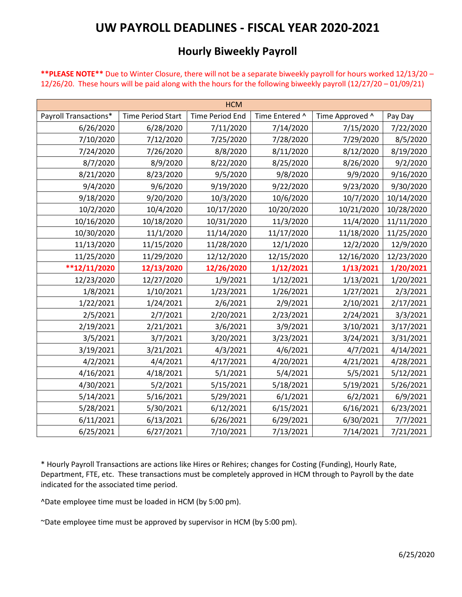## **UW PAYROLL DEADLINES - FISCAL YEAR 2020-2021**

## **Hourly Biweekly Payroll**

**\*\*PLEASE NOTE\*\*** Due to Winter Closure, there will not be a separate biweekly payroll for hours worked 12/13/20 – 12/26/20. These hours will be paid along with the hours for the following biweekly payroll (12/27/20 – 01/09/21)

| <b>HCM</b>            |                          |                        |                |                 |            |  |  |  |
|-----------------------|--------------------------|------------------------|----------------|-----------------|------------|--|--|--|
| Payroll Transactions* | <b>Time Period Start</b> | <b>Time Period End</b> | Time Entered ^ | Time Approved ^ | Pay Day    |  |  |  |
| 6/26/2020             | 6/28/2020                | 7/11/2020              | 7/14/2020      | 7/15/2020       | 7/22/2020  |  |  |  |
| 7/10/2020             | 7/12/2020                | 7/25/2020              | 7/28/2020      | 7/29/2020       | 8/5/2020   |  |  |  |
| 7/24/2020             | 7/26/2020                | 8/8/2020               | 8/11/2020      | 8/12/2020       | 8/19/2020  |  |  |  |
| 8/7/2020              | 8/9/2020                 | 8/22/2020              | 8/25/2020      | 8/26/2020       | 9/2/2020   |  |  |  |
| 8/21/2020             | 8/23/2020                | 9/5/2020               | 9/8/2020       | 9/9/2020        | 9/16/2020  |  |  |  |
| 9/4/2020              | 9/6/2020                 | 9/19/2020              | 9/22/2020      | 9/23/2020       | 9/30/2020  |  |  |  |
| 9/18/2020             | 9/20/2020                | 10/3/2020              | 10/6/2020      | 10/7/2020       | 10/14/2020 |  |  |  |
| 10/2/2020             | 10/4/2020                | 10/17/2020             | 10/20/2020     | 10/21/2020      | 10/28/2020 |  |  |  |
| 10/16/2020            | 10/18/2020               | 10/31/2020             | 11/3/2020      | 11/4/2020       | 11/11/2020 |  |  |  |
| 10/30/2020            | 11/1/2020                | 11/14/2020             | 11/17/2020     | 11/18/2020      | 11/25/2020 |  |  |  |
| 11/13/2020            | 11/15/2020               | 11/28/2020             | 12/1/2020      | 12/2/2020       | 12/9/2020  |  |  |  |
| 11/25/2020            | 11/29/2020               | 12/12/2020             | 12/15/2020     | 12/16/2020      | 12/23/2020 |  |  |  |
| $**12/11/2020$        | 12/13/2020               | 12/26/2020             | 1/12/2021      | 1/13/2021       | 1/20/2021  |  |  |  |
| 12/23/2020            | 12/27/2020               | 1/9/2021               | 1/12/2021      | 1/13/2021       | 1/20/2021  |  |  |  |
| 1/8/2021              | 1/10/2021                | 1/23/2021              | 1/26/2021      | 1/27/2021       | 2/3/2021   |  |  |  |
| 1/22/2021             | 1/24/2021                | 2/6/2021               | 2/9/2021       | 2/10/2021       | 2/17/2021  |  |  |  |
| 2/5/2021              | 2/7/2021                 | 2/20/2021              | 2/23/2021      | 2/24/2021       | 3/3/2021   |  |  |  |
| 2/19/2021             | 2/21/2021                | 3/6/2021               | 3/9/2021       | 3/10/2021       | 3/17/2021  |  |  |  |
| 3/5/2021              | 3/7/2021                 | 3/20/2021              | 3/23/2021      | 3/24/2021       | 3/31/2021  |  |  |  |
| 3/19/2021             | 3/21/2021                | 4/3/2021               | 4/6/2021       | 4/7/2021        | 4/14/2021  |  |  |  |
| 4/2/2021              | 4/4/2021                 | 4/17/2021              | 4/20/2021      | 4/21/2021       | 4/28/2021  |  |  |  |
| 4/16/2021             | 4/18/2021                | 5/1/2021               | 5/4/2021       | 5/5/2021        | 5/12/2021  |  |  |  |
| 4/30/2021             | 5/2/2021                 | 5/15/2021              | 5/18/2021      | 5/19/2021       | 5/26/2021  |  |  |  |
| 5/14/2021             | 5/16/2021                | 5/29/2021              | 6/1/2021       | 6/2/2021        | 6/9/2021   |  |  |  |
| 5/28/2021             | 5/30/2021                | 6/12/2021              | 6/15/2021      | 6/16/2021       | 6/23/2021  |  |  |  |
| 6/11/2021             | 6/13/2021                | 6/26/2021              | 6/29/2021      | 6/30/2021       | 7/7/2021   |  |  |  |
| 6/25/2021             | 6/27/2021                | 7/10/2021              | 7/13/2021      | 7/14/2021       | 7/21/2021  |  |  |  |

\* Hourly Payroll Transactions are actions like Hires or Rehires; changes for Costing (Funding), Hourly Rate, Department, FTE, etc. These transactions must be completely approved in HCM through to Payroll by the date indicated for the associated time period.

^Date employee time must be loaded in HCM (by 5:00 pm).

~Date employee time must be approved by supervisor in HCM (by 5:00 pm).